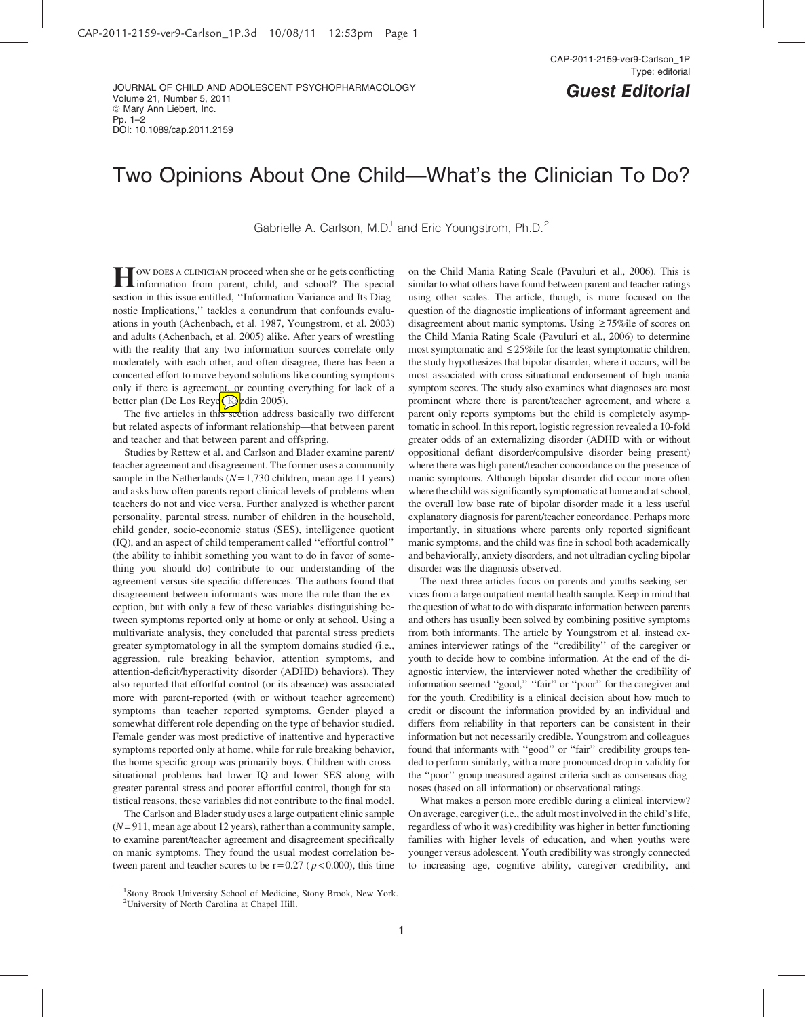#### JOURNAL OF CHILD AND ADOLESCENT PSYCHOPHARMACOLOGY Volume 21, Number 5, 2011 © Mary Ann Liebert, Inc. Pp. 1–2 DOI: 10.1089/cap.2011.2159

# Two Opinions About One Child—What's the Clinician To Do?

Gabrielle A. Carlson, M.D.<sup>1</sup> and Eric Youngstrom, Ph.D.<sup>2</sup>

**H**ow does a clinician proceed when she or he gets conflicting information from parent, child, and school? The special section in this issue entitled, ''Information Variance and Its Diagnostic Implications,'' tackles a conundrum that confounds evaluations in youth (Achenbach, et al. 1987, Youngstrom, et al. 2003) and adults (Achenbach, et al. 2005) alike. After years of wrestling with the reality that any two information sources correlate only moderately with each other, and often disagree, there has been a concerted effort to move beyond solutions like counting symptoms only if there is agreement, or counting everything for lack of a better plan (De Los Reye<sup>(Kardin</sup> 2005).

The five articles in this section address basically two different but related aspects of informant relationship—that between parent and teacher and that between parent and offspring.

Studies by Rettew et al. and Carlson and Blader examine parent/ teacher agreement and disagreement. The former uses a community sample in the Netherlands ( $N= 1,730$  children, mean age 11 years) and asks how often parents report clinical levels of problems when teachers do not and vice versa. Further analyzed is whether parent personality, parental stress, number of children in the household, child gender, socio-economic status (SES), intelligence quotient (IQ), and an aspect of child temperament called ''effortful control'' (the ability to inhibit something you want to do in favor of something you should do) contribute to our understanding of the agreement versus site specific differences. The authors found that disagreement between informants was more the rule than the exception, but with only a few of these variables distinguishing between symptoms reported only at home or only at school. Using a multivariate analysis, they concluded that parental stress predicts greater symptomatology in all the symptom domains studied (i.e., aggression, rule breaking behavior, attention symptoms, and attention-deficit/hyperactivity disorder (ADHD) behaviors). They also reported that effortful control (or its absence) was associated more with parent-reported (with or without teacher agreement) symptoms than teacher reported symptoms. Gender played a somewhat different role depending on the type of behavior studied. Female gender was most predictive of inattentive and hyperactive symptoms reported only at home, while for rule breaking behavior, the home specific group was primarily boys. Children with crosssituational problems had lower IQ and lower SES along with greater parental stress and poorer effortful control, though for statistical reasons, these variables did not contribute to the final model.

The Carlson and Blader study uses a large outpatient clinic sample  $(N= 911$ , mean age about 12 years), rather than a community sample, to examine parent/teacher agreement and disagreement specifically on manic symptoms. They found the usual modest correlation between parent and teacher scores to be  $r = 0.27$  ( $p < 0.000$ ), this time

on the Child Mania Rating Scale (Pavuluri et al., 2006). This is similar to what others have found between parent and teacher ratings using other scales. The article, though, is more focused on the question of the diagnostic implications of informant agreement and disagreement about manic symptoms. Using  $\geq 75\%$ ile of scores on the Child Mania Rating Scale (Pavuluri et al., 2006) to determine most symptomatic and  $\leq$  25%ile for the least symptomatic children, the study hypothesizes that bipolar disorder, where it occurs, will be most associated with cross situational endorsement of high mania symptom scores. The study also examines what diagnoses are most prominent where there is parent/teacher agreement, and where a parent only reports symptoms but the child is completely asymptomatic in school. In this report, logistic regression revealed a 10-fold greater odds of an externalizing disorder (ADHD with or without oppositional defiant disorder/compulsive disorder being present) where there was high parent/teacher concordance on the presence of manic symptoms. Although bipolar disorder did occur more often where the child was significantly symptomatic at home and at school, the overall low base rate of bipolar disorder made it a less useful explanatory diagnosis for parent/teacher concordance. Perhaps more importantly, in situations where parents only reported significant manic symptoms, and the child was fine in school both academically and behaviorally, anxiety disorders, and not ultradian cycling bipolar disorder was the diagnosis observed.

The next three articles focus on parents and youths seeking services from a large outpatient mental health sample. Keep in mind that the question of what to do with disparate information between parents and others has usually been solved by combining positive symptoms from both informants. The article by Youngstrom et al. instead examines interviewer ratings of the ''credibility'' of the caregiver or youth to decide how to combine information. At the end of the diagnostic interview, the interviewer noted whether the credibility of information seemed ''good,'' ''fair'' or ''poor'' for the caregiver and for the youth. Credibility is a clinical decision about how much to credit or discount the information provided by an individual and differs from reliability in that reporters can be consistent in their information but not necessarily credible. Youngstrom and colleagues found that informants with ''good'' or ''fair'' credibility groups tended to perform similarly, with a more pronounced drop in validity for the ''poor'' group measured against criteria such as consensus diagnoses (based on all information) or observational ratings.

What makes a person more credible during a clinical interview? On average, caregiver (i.e., the adult most involved in the child's life, regardless of who it was) credibility was higher in better functioning families with higher levels of education, and when youths were younger versus adolescent. Youth credibility was strongly connected to increasing age, cognitive ability, caregiver credibility, and

<sup>&</sup>lt;sup>1</sup>Stony Brook University School of Medicine, Stony Brook, New York. <sup>2</sup>University of North Carolina at Chapel Hill.